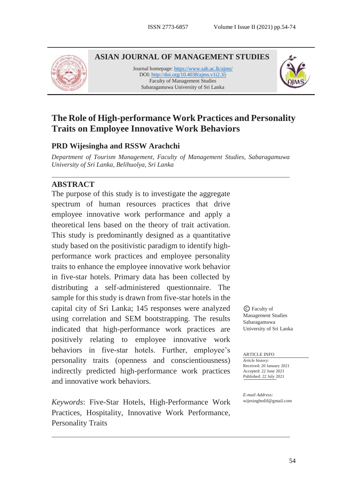

**ASIAN JOURNAL OF MANAGEMENT STUDIES**

Journal homepage[: https://www.sab.ac.lk/ajms/](https://www.sab.ac.lk/ajms/) DOI[: http://doi.org/10.4038/ajms.v1i2.35](http://doi.org/10.4038/ajms.v1i2.35) Faculty of Management Studies Sabaragamuwa University of Sri Lanka



# **The Role of High-performance Work Practices and Personality Traits on Employee Innovative Work Behaviors**

### **PRD Wijesingha and RSSW Arachchi**

*Department of Tourism Management, Faculty of Management Studies, Sabaragamuwa University of Sri Lanka, Belihuolya, Sri Lanka*

### **ABSTRACT**

The purpose of this study is to investigate the aggregate spectrum of human resources practices that drive employee innovative work performance and apply a theoretical lens based on the theory of trait activation. This study is predominantly designed as a quantitative study based on the positivistic paradigm to identify highperformance work practices and employee personality traits to enhance the employee innovative work behavior in five-star hotels. Primary data has been collected by distributing a self-administered questionnaire. The sample for this study is drawn from five-star hotels in the capital city of Sri Lanka; 145 responses were analyzed using correlation and SEM bootstrapping. The results indicated that high-performance work practices are positively relating to employee innovative work behaviors in five-star hotels. Further, employee's personality traits (openness and conscientiousness) indirectly predicted high-performance work practices and innovative work behaviors.

*Keywords*: Five-Star Hotels, High-Performance Work Practices, Hospitality, Innovative Work Performance, Personality Traits

© Faculty of Management Studies Sabaragamuwa University of Sri Lanka

ARTICLE INFO

*Article history:* Received: 20 January 2021 Accepted: 22 June 2021 Published: 22 July 2021

*E-mail Address:* wijesinghedif@gmail.com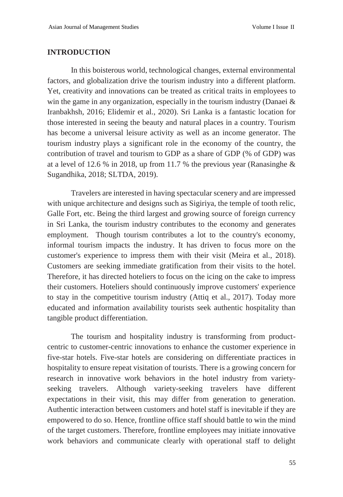#### **INTRODUCTION**

In this boisterous world, technological changes, external environmental factors, and globalization drive the tourism industry into a different platform. Yet, creativity and innovations can be treated as critical traits in employees to win the game in any organization, especially in the tourism industry (Danaei & Iranbakhsh, 2016; Elidemir et al., 2020). Sri Lanka is a fantastic location for those interested in seeing the beauty and natural places in a country. Tourism has become a universal leisure activity as well as an income generator. The tourism industry plays a significant role in the economy of the country, the contribution of travel and tourism to GDP as a share of GDP (% of GDP) was at a level of 12.6 % in 2018, up from 11.7 % the previous year (Ranasinghe & Sugandhika, 2018; SLTDA, 2019).

Travelers are interested in having spectacular scenery and are impressed with unique architecture and designs such as Sigiriya, the temple of tooth relic, Galle Fort, etc. Being the third largest and growing source of foreign currency in Sri Lanka, the tourism industry contributes to the economy and generates employment. Though tourism contributes a lot to the country's economy, informal tourism impacts the industry. It has driven to focus more on the customer's experience to impress them with their visit (Meira et al., 2018). Customers are seeking immediate gratification from their visits to the hotel. Therefore, it has directed hoteliers to focus on the icing on the cake to impress their customers. Hoteliers should continuously improve customers' experience to stay in the competitive tourism industry (Attiq et al., 2017). Today more educated and information availability tourists seek authentic hospitality than tangible product differentiation.

The tourism and hospitality industry is transforming from productcentric to customer-centric innovations to enhance the customer experience in five-star hotels. Five-star hotels are considering on differentiate practices in hospitality to ensure repeat visitation of tourists. There is a growing concern for research in innovative work behaviors in the hotel industry from varietyseeking travelers. Although variety-seeking travelers have different expectations in their visit, this may differ from generation to generation. Authentic interaction between customers and hotel staff is inevitable if they are empowered to do so. Hence, frontline office staff should battle to win the mind of the target customers. Therefore, frontline employees may initiate innovative work behaviors and communicate clearly with operational staff to delight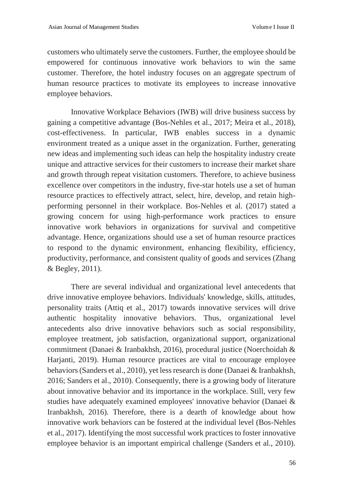customers who ultimately serve the customers. Further, the employee should be empowered for continuous innovative work behaviors to win the same customer. Therefore, the hotel industry focuses on an aggregate spectrum of human resource practices to motivate its employees to increase innovative employee behaviors.

Innovative Workplace Behaviors (IWB) will drive business success by gaining a competitive advantage (Bos-Nehles et al., 2017; Meira et al., 2018), cost-effectiveness. In particular, IWB enables success in a dynamic environment treated as a unique asset in the organization. Further, generating new ideas and implementing such ideas can help the hospitality industry create unique and attractive services for their customers to increase their market share and growth through repeat visitation customers. Therefore, to achieve business excellence over competitors in the industry, five-star hotels use a set of human resource practices to effectively attract, select, hire, develop, and retain highperforming personnel in their workplace. Bos-Nehles et al. (2017) stated a growing concern for using high-performance work practices to ensure innovative work behaviors in organizations for survival and competitive advantage. Hence, organizations should use a set of human resource practices to respond to the dynamic environment, enhancing flexibility, efficiency, productivity, performance, and consistent quality of goods and services (Zhang & Begley, 2011).

There are several individual and organizational level antecedents that drive innovative employee behaviors. Individuals' knowledge, skills, attitudes, personality traits (Attiq et al., 2017) towards innovative services will drive authentic hospitality innovative behaviors. Thus, organizational level antecedents also drive innovative behaviors such as social responsibility, employee treatment, job satisfaction, organizational support, organizational commitment (Danaei & Iranbakhsh, 2016), procedural justice (Noerchoidah & Harjanti, 2019). Human resource practices are vital to encourage employee behaviors (Sanders et al., 2010), yet less research is done (Danaei & Iranbakhsh, 2016; Sanders et al., 2010). Consequently, there is a growing body of literature about innovative behavior and its importance in the workplace. Still, very few studies have adequately examined employees' innovative behavior (Danaei & Iranbakhsh, 2016). Therefore, there is a dearth of knowledge about how innovative work behaviors can be fostered at the individual level (Bos-Nehles et al., 2017). Identifying the most successful work practices to foster innovative employee behavior is an important empirical challenge (Sanders et al., 2010).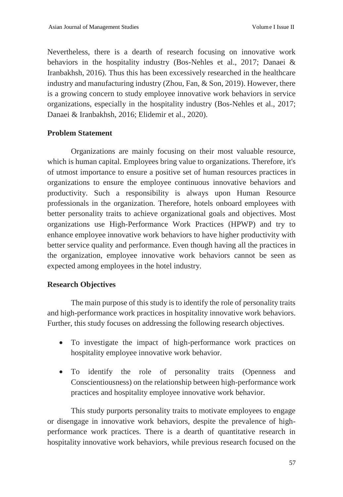Nevertheless, there is a dearth of research focusing on innovative work behaviors in the hospitality industry (Bos-Nehles et al., 2017; Danaei & Iranbakhsh, 2016). Thus this has been excessively researched in the healthcare industry and manufacturing industry (Zhou, Fan, & Son, 2019). However, there is a growing concern to study employee innovative work behaviors in service organizations, especially in the hospitality industry (Bos-Nehles et al., 2017; Danaei & Iranbakhsh, 2016; Elidemir et al., 2020).

## **Problem Statement**

Organizations are mainly focusing on their most valuable resource, which is human capital. Employees bring value to organizations. Therefore, it's of utmost importance to ensure a positive set of human resources practices in organizations to ensure the employee continuous innovative behaviors and productivity. Such a responsibility is always upon Human Resource professionals in the organization. Therefore, hotels onboard employees with better personality traits to achieve organizational goals and objectives. Most organizations use High-Performance Work Practices (HPWP) and try to enhance employee innovative work behaviors to have higher productivity with better service quality and performance. Even though having all the practices in the organization, employee innovative work behaviors cannot be seen as expected among employees in the hotel industry.

## **Research Objectives**

The main purpose of this study is to identify the role of personality traits and high-performance work practices in hospitality innovative work behaviors. Further, this study focuses on addressing the following research objectives.

- To investigate the impact of high-performance work practices on hospitality employee innovative work behavior.
- To identify the role of personality traits (Openness and Conscientiousness) on the relationship between high-performance work practices and hospitality employee innovative work behavior.

This study purports personality traits to motivate employees to engage or disengage in innovative work behaviors, despite the prevalence of highperformance work practices. There is a dearth of quantitative research in hospitality innovative work behaviors, while previous research focused on the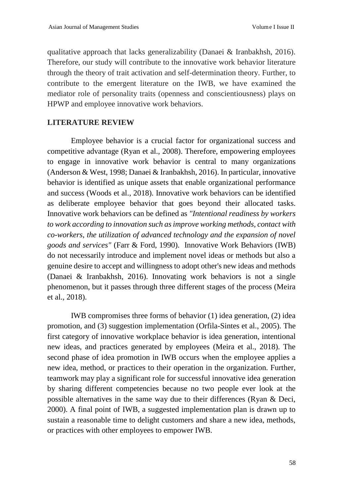qualitative approach that lacks generalizability (Danaei & Iranbakhsh, 2016). Therefore, our study will contribute to the innovative work behavior literature through the theory of trait activation and self-determination theory. Further, to contribute to the emergent literature on the IWB, we have examined the mediator role of personality traits (openness and conscientiousness) plays on HPWP and employee innovative work behaviors.

## **LITERATURE REVIEW**

Employee behavior is a crucial factor for organizational success and competitive advantage (Ryan et al., 2008). Therefore, empowering employees to engage in innovative work behavior is central to many organizations (Anderson & West, 1998; Danaei & Iranbakhsh, 2016). In particular, innovative behavior is identified as unique assets that enable organizational performance and success (Woods et al., 2018). Innovative work behaviors can be identified as deliberate employee behavior that goes beyond their allocated tasks. Innovative work behaviors can be defined as *"Intentional readiness by workers to work according to innovation such as improve working methods, contact with co-workers, the utilization of advanced technology and the expansion of novel goods and services"* (Farr & Ford, 1990). Innovative Work Behaviors (IWB) do not necessarily introduce and implement novel ideas or methods but also a genuine desire to accept and willingness to adopt other's new ideas and methods (Danaei & Iranbakhsh, 2016). Innovating work behaviors is not a single phenomenon, but it passes through three different stages of the process (Meira et al., 2018).

IWB compromises three forms of behavior (1) idea generation, (2) idea promotion, and (3) suggestion implementation (Orfila-Sintes et al., 2005). The first category of innovative workplace behavior is idea generation, intentional new ideas, and practices generated by employees (Meira et al., 2018). The second phase of idea promotion in IWB occurs when the employee applies a new idea, method, or practices to their operation in the organization. Further, teamwork may play a significant role for successful innovative idea generation by sharing different competencies because no two people ever look at the possible alternatives in the same way due to their differences (Ryan & Deci, 2000). A final point of IWB, a suggested implementation plan is drawn up to sustain a reasonable time to delight customers and share a new idea, methods, or practices with other employees to empower IWB.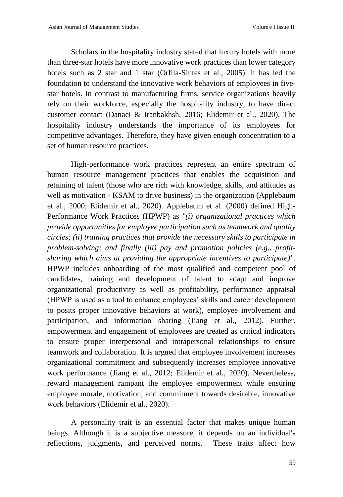Scholars in the hospitality industry stated that luxury hotels with more than three-star hotels have more innovative work practices than lower category hotels such as 2 star and 1 star (Orfila-Sintes et al., 2005). It has led the foundation to understand the innovative work behaviors of employees in fivestar hotels. In contrast to manufacturing firms, service organizations heavily rely on their workforce, especially the hospitality industry, to have direct customer contact (Danaei & Iranbakhsh, 2016; Elidemir et al., 2020). The hospitality industry understands the importance of its employees for competitive advantages. Therefore, they have given enough concentration to a set of human resource practices.

High-performance work practices represent an entire spectrum of human resource management practices that enables the acquisition and retaining of talent (those who are rich with knowledge, skills, and attitudes as well as motivation - KSAM to drive business) in the organization (Applebaum et al., 2000; Elidemir et al., 2020). Applebaum et al. (2000) defined High-Performance Work Practices (HPWP) as *"(i) organizational practices which provide opportunities for employee participation such as teamwork and quality circles; (ii) training practices that provide the necessary skills to participate in problem-solving; and finally (iii) pay and promotion policies (e.g., profitsharing which aims at providing the appropriate incentives to participate)".* HPWP includes onboarding of the most qualified and competent pool of candidates, training and development of talent to adapt and improve organizational productivity as well as profitability, performance appraisal (HPWP is used as a tool to enhance employees' skills and career development to posits proper innovative behaviors at work), employee involvement and participation, and information sharing (Jiang et al., 2012). Further, empowerment and engagement of employees are treated as critical indicators to ensure proper interpersonal and intrapersonal relationships to ensure teamwork and collaboration. It is argued that employee involvement increases organizational commitment and subsequently increases employee innovative work performance (Jiang et al., 2012; Elidemir et al., 2020). Nevertheless, reward management rampant the employee empowerment while ensuring employee morale, motivation, and commitment towards desirable, innovative work behaviors (Elidemir et al., 2020).

A personality trait is an essential factor that makes unique human beings. Although it is a subjective measure, it depends on an individual's reflections, judgments, and perceived norms. These traits affect how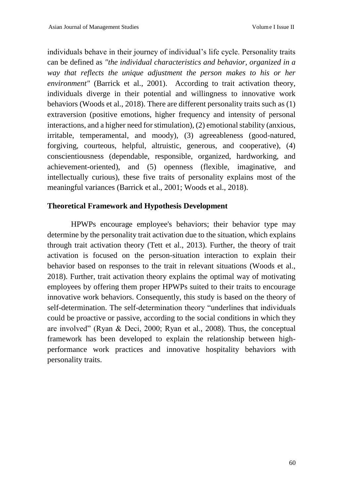individuals behave in their journey of individual's life cycle. Personality traits can be defined as *"the individual characteristics and behavior, organized in a way that reflects the unique adjustment the person makes to his or her environment"* (Barrick et al., 2001). According to trait activation theory, individuals diverge in their potential and willingness to innovative work behaviors (Woods et al., 2018). There are different personality traits such as (1) extraversion (positive emotions, higher frequency and intensity of personal interactions, and a higher need for stimulation), (2) emotional stability (anxious, irritable, temperamental, and moody), (3) agreeableness (good-natured, forgiving, courteous, helpful, altruistic, generous, and cooperative), (4) conscientiousness (dependable, responsible, organized, hardworking, and achievement-oriented), and (5) openness (flexible, imaginative, and intellectually curious), these five traits of personality explains most of the meaningful variances (Barrick et al., 2001; Woods et al., 2018).

#### **Theoretical Framework and Hypothesis Development**

HPWPs encourage employee's behaviors; their behavior type may determine by the personality trait activation due to the situation, which explains through trait activation theory (Tett et al., 2013). Further, the theory of trait activation is focused on the person-situation interaction to explain their behavior based on responses to the trait in relevant situations (Woods et al., 2018). Further, trait activation theory explains the optimal way of motivating employees by offering them proper HPWPs suited to their traits to encourage innovative work behaviors. Consequently, this study is based on the theory of self-determination. The self-determination theory "underlines that individuals could be proactive or passive, according to the social conditions in which they are involved" (Ryan & Deci, 2000; Ryan et al., 2008). Thus, the conceptual framework has been developed to explain the relationship between highperformance work practices and innovative hospitality behaviors with personality traits.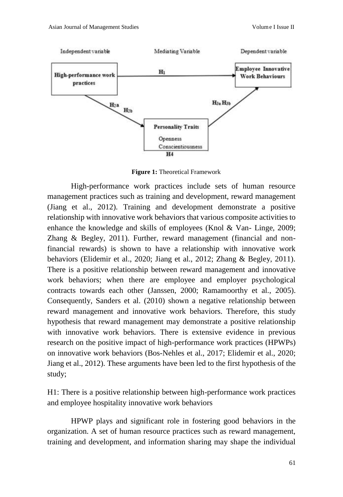

**Figure 1:** Theoretical Framework

High-performance work practices include sets of human resource management practices such as training and development, reward management (Jiang et al., 2012). Training and development demonstrate a positive relationship with innovative work behaviors that various composite activities to enhance the knowledge and skills of employees (Knol & Van- Linge, 2009; Zhang & Begley, 2011). Further, reward management (financial and nonfinancial rewards) is shown to have a relationship with innovative work behaviors (Elidemir et al., 2020; Jiang et al., 2012; Zhang & Begley, 2011). There is a positive relationship between reward management and innovative work behaviors; when there are employee and employer psychological contracts towards each other (Janssen, 2000; Ramamoorthy et al., 2005). Consequently, Sanders et al. (2010) shown a negative relationship between reward management and innovative work behaviors. Therefore, this study hypothesis that reward management may demonstrate a positive relationship with innovative work behaviors. There is extensive evidence in previous research on the positive impact of high-performance work practices (HPWPs) on innovative work behaviors (Bos-Nehles et al., 2017; Elidemir et al., 2020; Jiang et al., 2012). These arguments have been led to the first hypothesis of the study;

H1: There is a positive relationship between high-performance work practices and employee hospitality innovative work behaviors

HPWP plays and significant role in fostering good behaviors in the organization. A set of human resource practices such as reward management, training and development, and information sharing may shape the individual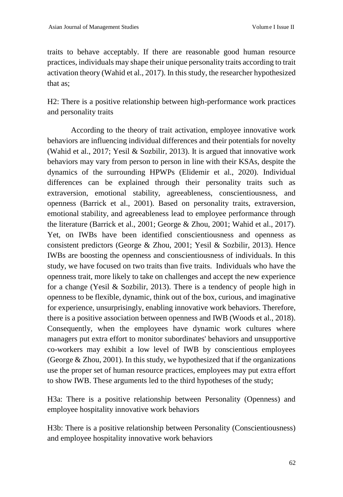traits to behave acceptably. If there are reasonable good human resource practices, individuals may shape their unique personality traits according to trait activation theory (Wahid et al., 2017). In this study, the researcher hypothesized that as;

H2: There is a positive relationship between high-performance work practices and personality traits

According to the theory of trait activation, employee innovative work behaviors are influencing individual differences and their potentials for novelty (Wahid et al., 2017; Yesil & Sozbilir, 2013). It is argued that innovative work behaviors may vary from person to person in line with their KSAs, despite the dynamics of the surrounding HPWPs (Elidemir et al., 2020). Individual differences can be explained through their personality traits such as extraversion, emotional stability, agreeableness, conscientiousness, and openness (Barrick et al., 2001). Based on personality traits, extraversion, emotional stability, and agreeableness lead to employee performance through the literature (Barrick et al., 2001; George & Zhou, 2001; Wahid et al., 2017). Yet, on IWBs have been identified conscientiousness and openness as consistent predictors (George & Zhou, 2001; Yesil & Sozbilir, 2013). Hence IWBs are boosting the openness and conscientiousness of individuals. In this study, we have focused on two traits than five traits. Individuals who have the openness trait, more likely to take on challenges and accept the new experience for a change (Yesil & Sozbilir, 2013). There is a tendency of people high in openness to be flexible, dynamic, think out of the box, curious, and imaginative for experience, unsurprisingly, enabling innovative work behaviors. Therefore, there is a positive association between openness and IWB (Woods et al., 2018). Consequently, when the employees have dynamic work cultures where managers put extra effort to monitor subordinates' behaviors and unsupportive co-workers may exhibit a low level of IWB by conscientious employees (George & Zhou, 2001). In this study, we hypothesized that if the organizations use the proper set of human resource practices, employees may put extra effort to show IWB. These arguments led to the third hypotheses of the study;

H3a: There is a positive relationship between Personality (Openness) and employee hospitality innovative work behaviors

H3b: There is a positive relationship between Personality (Conscientiousness) and employee hospitality innovative work behaviors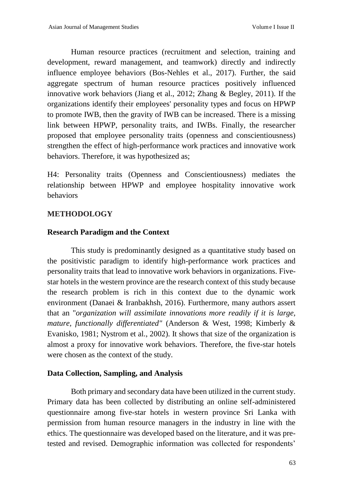Human resource practices (recruitment and selection, training and development, reward management, and teamwork) directly and indirectly influence employee behaviors (Bos-Nehles et al., 2017). Further, the said aggregate spectrum of human resource practices positively influenced innovative work behaviors (Jiang et al., 2012; Zhang & Begley, 2011). If the organizations identify their employees' personality types and focus on HPWP to promote IWB, then the gravity of IWB can be increased. There is a missing link between HPWP, personality traits, and IWBs. Finally, the researcher proposed that employee personality traits (openness and conscientiousness) strengthen the effect of high-performance work practices and innovative work behaviors. Therefore, it was hypothesized as;

H4: Personality traits (Openness and Conscientiousness) mediates the relationship between HPWP and employee hospitality innovative work behaviors

## **METHODOLOGY**

#### **Research Paradigm and the Context**

This study is predominantly designed as a quantitative study based on the positivistic paradigm to identify high-performance work practices and personality traits that lead to innovative work behaviors in organizations. Fivestar hotels in the western province are the research context of this study because the research problem is rich in this context due to the dynamic work environment (Danaei & Iranbakhsh, 2016). Furthermore, many authors assert that an "*organization will assimilate innovations more readily if it is large, mature, functionally differentiated"* (Anderson & West, 1998; Kimberly & Evanisko, 1981; Nystrom et al., 2002). It shows that size of the organization is almost a proxy for innovative work behaviors. Therefore, the five-star hotels were chosen as the context of the study.

#### **Data Collection, Sampling, and Analysis**

Both primary and secondary data have been utilized in the current study. Primary data has been collected by distributing an online self-administered questionnaire among five-star hotels in western province Sri Lanka with permission from human resource managers in the industry in line with the ethics. The questionnaire was developed based on the literature, and it was pretested and revised. Demographic information was collected for respondents'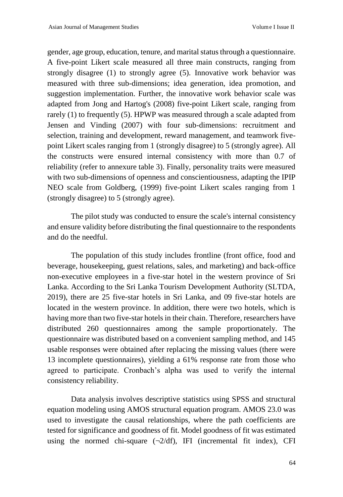gender, age group, education, tenure, and marital status through a questionnaire. A five-point Likert scale measured all three main constructs, ranging from strongly disagree (1) to strongly agree (5). Innovative work behavior was measured with three sub-dimensions; idea generation, idea promotion, and suggestion implementation. Further, the innovative work behavior scale was adapted from Jong and Hartog's (2008) five-point Likert scale, ranging from rarely (1) to frequently (5). HPWP was measured through a scale adapted from Jensen and Vinding (2007) with four sub-dimensions: recruitment and selection, training and development, reward management, and teamwork fivepoint Likert scales ranging from 1 (strongly disagree) to 5 (strongly agree). All the constructs were ensured internal consistency with more than 0.7 of reliability (refer to annexure table 3). Finally, personality traits were measured with two sub-dimensions of openness and conscientiousness, adapting the IPIP NEO scale from Goldberg, (1999) five-point Likert scales ranging from 1 (strongly disagree) to 5 (strongly agree).

The pilot study was conducted to ensure the scale's internal consistency and ensure validity before distributing the final questionnaire to the respondents and do the needful.

The population of this study includes frontline (front office, food and beverage, housekeeping, guest relations, sales, and marketing) and back-office non-executive employees in a five-star hotel in the western province of Sri Lanka. According to the Sri Lanka Tourism Development Authority (SLTDA, 2019), there are 25 five-star hotels in Sri Lanka, and 09 five-star hotels are located in the western province. In addition, there were two hotels, which is having more than two five-star hotels in their chain. Therefore, researchers have distributed 260 questionnaires among the sample proportionately. The questionnaire was distributed based on a convenient sampling method, and 145 usable responses were obtained after replacing the missing values (there were 13 incomplete questionnaires), yielding a 61% response rate from those who agreed to participate. Cronbach's alpha was used to verify the internal consistency reliability.

Data analysis involves descriptive statistics using SPSS and structural equation modeling using AMOS structural equation program. AMOS 23.0 was used to investigate the causal relationships, where the path coefficients are tested for significance and goodness of fit. Model goodness of fit was estimated using the normed chi-square  $(\neg 2/df)$ , IFI (incremental fit index), CFI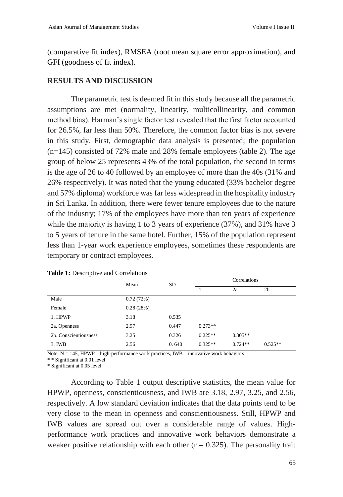(comparative fit index), RMSEA (root mean square error approximation), and GFI (goodness of fit index).

#### **RESULTS AND DISCUSSION**

The parametric test is deemed fit in this study because all the parametric assumptions are met (normality, linearity, multicollinearity, and common method bias). Harman's single factor test revealed that the first factor accounted for 26.5%, far less than 50%. Therefore, the common factor bias is not severe in this study. First, demographic data analysis is presented; the population (n=145) consisted of 72% male and 28% female employees (table 2). The age group of below 25 represents 43% of the total population, the second in terms is the age of 26 to 40 followed by an employee of more than the 40s (31% and 26% respectively). It was noted that the young educated (33% bachelor degree and 57% diploma) workforce was far less widespread in the hospitality industry in Sri Lanka. In addition, there were fewer tenure employees due to the nature of the industry; 17% of the employees have more than ten years of experience while the majority is having 1 to 3 years of experience (37%), and 31% have 3 to 5 years of tenure in the same hotel. Further, 15% of the population represent less than 1-year work experience employees, sometimes these respondents are temporary or contract employees.

|                       | Mean      | <b>SD</b> | Correlations |           |                |
|-----------------------|-----------|-----------|--------------|-----------|----------------|
|                       |           |           |              | 2a        | 2 <sub>b</sub> |
| Male                  | 0.72(72%) |           |              |           |                |
| Female                | 0.28(28%) |           |              |           |                |
| 1. HPWP               | 3.18      | 0.535     |              |           |                |
| 2a. Openness          | 2.97      | 0.447     | $0.273**$    |           |                |
| 2b. Conscientiousness | 3.25      | 0.326     | $0.225**$    | $0.305**$ |                |
| 3. IWB                | 2.56      | 0.640     | $0.325**$    | $0.724**$ | $0.525**$      |

Note:  $N = 145$ , HPWP – high-performance work practices, IWB – innovative work behaviors

\* \* Significant at 0.01 level

\* Significant at 0.05 level

According to Table 1 output descriptive statistics, the mean value for HPWP, openness, conscientiousness, and IWB are 3.18, 2.97, 3.25, and 2.56, respectively. A low standard deviation indicates that the data points tend to be very close to the mean in openness and conscientiousness. Still, HPWP and IWB values are spread out over a considerable range of values. Highperformance work practices and innovative work behaviors demonstrate a weaker positive relationship with each other  $(r = 0.325)$ . The personality trait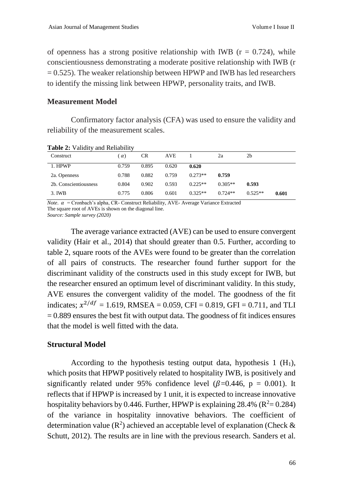of openness has a strong positive relationship with IWB ( $r = 0.724$ ), while conscientiousness demonstrating a moderate positive relationship with IWB (r  $= 0.525$ ). The weaker relationship between HPWP and IWB has led researchers to identify the missing link between HPWP, personality traits, and IWB.

### **Measurement Model**

Confirmatory factor analysis (CFA) was used to ensure the validity and reliability of the measurement scales.

| Construct             | $\alpha$ ) | <b>CR</b> | AVE   |           | 2a        | 2b        |       |
|-----------------------|------------|-----------|-------|-----------|-----------|-----------|-------|
| 1. HPWP               | 0.759      | 0.895     | 0.620 | 0.620     |           |           |       |
| 2a. Openness          | 0.788      | 0.882     | 0.759 | $0.273**$ | 0.759     |           |       |
| 2b. Conscientiousness | 0.804      | 0.902     | 0.593 | $0.225**$ | $0.305**$ | 0.593     |       |
| 3. IWB                | 0.775      | 0.806     | 0.601 | $0.325**$ | $0.724**$ | $0.525**$ | 0.601 |

**Table 2:** Validity and Reliability

*Note.*  $\alpha$  = Cronbach's alpha, CR- Construct Reliability, AVE- Average Variance Extracted The square root of AVEs is shown on the diagonal line.

*Source: Sample survey (2020)*

The average variance extracted (AVE) can be used to ensure convergent validity (Hair et al., 2014) that should greater than 0.5. Further, according to table 2, square roots of the AVEs were found to be greater than the correlation of all pairs of constructs. The researcher found further support for the discriminant validity of the constructs used in this study except for IWB, but the researcher ensured an optimum level of discriminant validity. In this study, AVE ensures the convergent validity of the model. The goodness of the fit indicates;  $x^{2/df} = 1.619$ , RMSEA = 0.059, CFI = 0.819, GFI = 0.711, and TLI  $= 0.889$  ensures the best fit with output data. The goodness of fit indices ensures that the model is well fitted with the data.

#### **Structural Model**

According to the hypothesis testing output data, hypothesis  $1 \text{ (H}_1)$ , which posits that HPWP positively related to hospitality IWB, is positively and significantly related under 95% confidence level ( $\beta$ =0.446, p = 0.001). It reflects that if HPWP is increased by 1 unit, it is expected to increase innovative hospitality behaviors by 0.446. Further, HPWP is explaining 28.4% ( $R^2$  = 0.284) of the variance in hospitality innovative behaviors. The coefficient of determination value ( $\mathbb{R}^2$ ) achieved an acceptable level of explanation (Check & Schutt, 2012). The results are in line with the previous research. Sanders et al.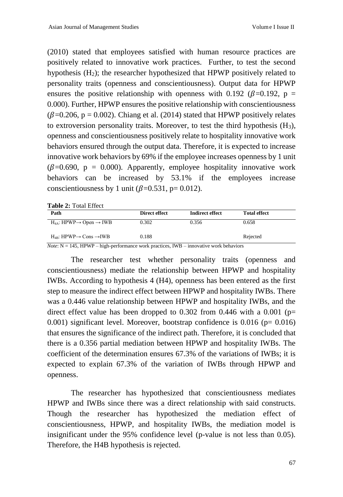(2010) stated that employees satisfied with human resource practices are positively related to innovative work practices. Further, to test the second hypothesis  $(H_2)$ ; the researcher hypothesized that HPWP positively related to personality traits (openness and conscientiousness). Output data for HPWP ensures the positive relationship with openness with 0.192 ( $\beta$ =0.192, p = 0.000). Further, HPWP ensures the positive relationship with conscientiousness ( $\beta$ =0.206, p = 0.002). Chiang et al. (2014) stated that HPWP positively relates to extroversion personality traits. Moreover, to test the third hypothesis  $(H_3)$ , openness and conscientiousness positively relate to hospitality innovative work behaviors ensured through the output data. Therefore, it is expected to increase innovative work behaviors by 69% if the employee increases openness by 1 unit ( $\beta$ =0.690, p = 0.000). Apparently, employee hospitality innovative work behaviors can be increased by 53.1% if the employees increase conscientiousness by 1 unit ( $\beta$ =0.531, p= 0.012).

| <b>Table 2: Total Effect</b> |  |  |  |
|------------------------------|--|--|--|
|------------------------------|--|--|--|

| Path                                                 | Direct effect | Indirect effect | <b>Total effect</b> |
|------------------------------------------------------|---------------|-----------------|---------------------|
| $H_{4A}$ : HPWP $\rightarrow$ Open $\rightarrow$ IWB | 0.302         | 0.356           | 0.658               |
| $H_{4B}$ : HPWP $\rightarrow$ Cons $\rightarrow$ IWB | 0.188         |                 | Rejected            |

*Note*: N = 145, HPWP – high-performance work practices, IWB – innovative work behaviors

The researcher test whether personality traits (openness and conscientiousness) mediate the relationship between HPWP and hospitality IWBs. According to hypothesis 4 (H4), openness has been entered as the first step to measure the indirect effect between HPWP and hospitality IWBs. There was a 0.446 value relationship between HPWP and hospitality IWBs, and the direct effect value has been dropped to 0.302 from 0.446 with a 0.001 ( $p=$ 0.001) significant level. Moreover, bootstrap confidence is  $0.016$  ( $p= 0.016$ ) that ensures the significance of the indirect path. Therefore, it is concluded that there is a 0.356 partial mediation between HPWP and hospitality IWBs. The coefficient of the determination ensures 67.3% of the variations of IWBs; it is expected to explain 67.3% of the variation of IWBs through HPWP and openness.

The researcher has hypothesized that conscientiousness mediates HPWP and IWBs since there was a direct relationship with said constructs. Though the researcher has hypothesized the mediation effect of conscientiousness, HPWP, and hospitality IWBs, the mediation model is insignificant under the 95% confidence level (p-value is not less than 0.05). Therefore, the H4B hypothesis is rejected.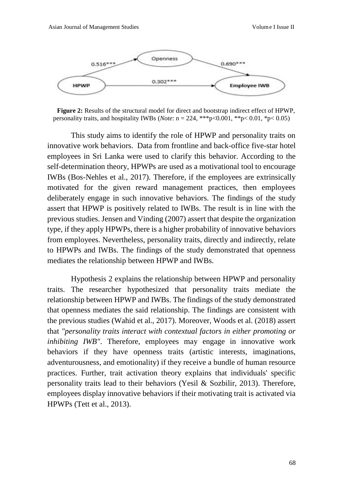

**Figure 2:** Results of the structural model for direct and bootstrap indirect effect of HPWP, personality traits, and hospitality IWBs (*Note*:  $n = 224$ , \*\*\*p<0.001, \*\*p<0.01, \*p<0.05)

This study aims to identify the role of HPWP and personality traits on innovative work behaviors. Data from frontline and back-office five-star hotel employees in Sri Lanka were used to clarify this behavior. According to the self-determination theory, HPWPs are used as a motivational tool to encourage IWBs (Bos-Nehles et al., 2017). Therefore, if the employees are extrinsically motivated for the given reward management practices, then employees deliberately engage in such innovative behaviors. The findings of the study assert that HPWP is positively related to IWBs. The result is in line with the previous studies. Jensen and Vinding (2007) assert that despite the organization type, if they apply HPWPs, there is a higher probability of innovative behaviors from employees. Nevertheless, personality traits, directly and indirectly, relate to HPWPs and IWBs. The findings of the study demonstrated that openness mediates the relationship between HPWP and IWBs.

Hypothesis 2 explains the relationship between HPWP and personality traits. The researcher hypothesized that personality traits mediate the relationship between HPWP and IWBs. The findings of the study demonstrated that openness mediates the said relationship. The findings are consistent with the previous studies (Wahid et al., 2017). Moreover, Woods et al. (2018) assert that *"personality traits interact with contextual factors in either promoting or inhibiting IWB"*. Therefore, employees may engage in innovative work behaviors if they have openness traits (artistic interests, imaginations, adventurousness, and emotionality) if they receive a bundle of human resource practices. Further, trait activation theory explains that individuals' specific personality traits lead to their behaviors (Yesil & Sozbilir, 2013). Therefore, employees display innovative behaviors if their motivating trait is activated via HPWPs (Tett et al., 2013).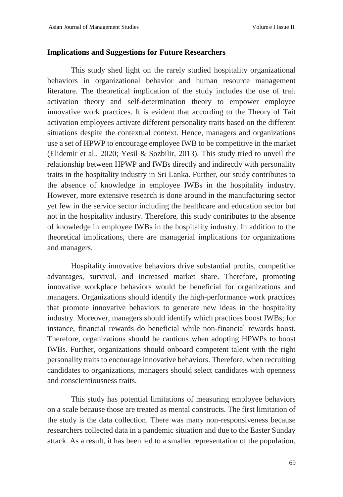#### **Implications and Suggestions for Future Researchers**

This study shed light on the rarely studied hospitality organizational behaviors in organizational behavior and human resource management literature. The theoretical implication of the study includes the use of trait activation theory and self-determination theory to empower employee innovative work practices. It is evident that according to the Theory of Tait activation employees activate different personality traits based on the different situations despite the contextual context. Hence, managers and organizations use a set of HPWP to encourage employee IWB to be competitive in the market (Elidemir et al., 2020; Yesil & Sozbilir, 2013). This study tried to unveil the relationship between HPWP and IWBs directly and indirectly with personality traits in the hospitality industry in Sri Lanka. Further, our study contributes to the absence of knowledge in employee IWBs in the hospitality industry. However, more extensive research is done around in the manufacturing sector yet few in the service sector including the healthcare and education sector but not in the hospitality industry. Therefore, this study contributes to the absence of knowledge in employee IWBs in the hospitality industry. In addition to the theoretical implications, there are managerial implications for organizations and managers.

Hospitality innovative behaviors drive substantial profits, competitive advantages, survival, and increased market share. Therefore, promoting innovative workplace behaviors would be beneficial for organizations and managers. Organizations should identify the high-performance work practices that promote innovative behaviors to generate new ideas in the hospitality industry. Moreover, managers should identify which practices boost IWBs; for instance, financial rewards do beneficial while non-financial rewards boost. Therefore, organizations should be cautious when adopting HPWPs to boost IWBs. Further, organizations should onboard competent talent with the right personality traits to encourage innovative behaviors. Therefore, when recruiting candidates to organizations, managers should select candidates with openness and conscientiousness traits.

This study has potential limitations of measuring employee behaviors on a scale because those are treated as mental constructs. The first limitation of the study is the data collection. There was many non-responsiveness because researchers collected data in a pandemic situation and due to the Easter Sunday attack. As a result, it has been led to a smaller representation of the population.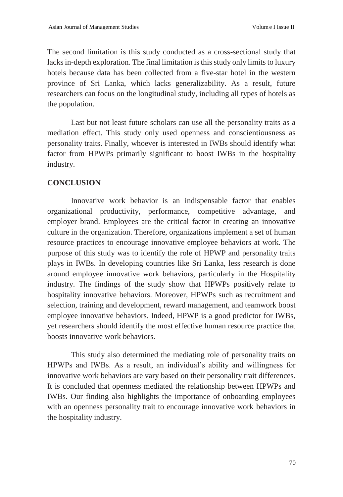The second limitation is this study conducted as a cross-sectional study that lacks in-depth exploration. The final limitation is this study only limits to luxury hotels because data has been collected from a five-star hotel in the western province of Sri Lanka, which lacks generalizability. As a result, future researchers can focus on the longitudinal study, including all types of hotels as the population.

Last but not least future scholars can use all the personality traits as a mediation effect. This study only used openness and conscientiousness as personality traits. Finally, whoever is interested in IWBs should identify what factor from HPWPs primarily significant to boost IWBs in the hospitality industry.

### **CONCLUSION**

Innovative work behavior is an indispensable factor that enables organizational productivity, performance, competitive advantage, and employer brand. Employees are the critical factor in creating an innovative culture in the organization. Therefore, organizations implement a set of human resource practices to encourage innovative employee behaviors at work. The purpose of this study was to identify the role of HPWP and personality traits plays in IWBs. In developing countries like Sri Lanka, less research is done around employee innovative work behaviors, particularly in the Hospitality industry. The findings of the study show that HPWPs positively relate to hospitality innovative behaviors. Moreover, HPWPs such as recruitment and selection, training and development, reward management, and teamwork boost employee innovative behaviors. Indeed, HPWP is a good predictor for IWBs, yet researchers should identify the most effective human resource practice that boosts innovative work behaviors.

This study also determined the mediating role of personality traits on HPWPs and IWBs. As a result, an individual's ability and willingness for innovative work behaviors are vary based on their personality trait differences. It is concluded that openness mediated the relationship between HPWPs and IWBs. Our finding also highlights the importance of onboarding employees with an openness personality trait to encourage innovative work behaviors in the hospitality industry.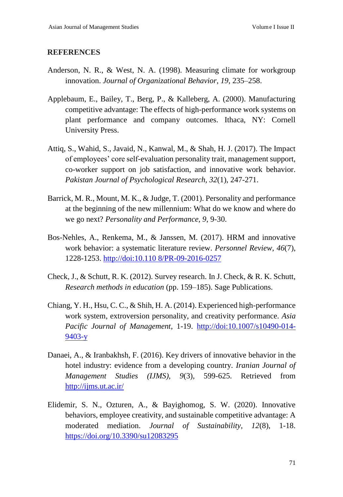#### **REFERENCES**

- Anderson, N. R., & West, N. A. (1998). Measuring climate for workgroup innovation. *Journal of Organizational Behavior*, *19*, 235–258.
- Applebaum, E., Bailey, T., Berg, P., & Kalleberg, A. (2000). Manufacturing competitive advantage: The effects of high-performance work systems on plant performance and company outcomes. Ithaca, NY: Cornell University Press.
- Attiq, S., Wahid, S., Javaid, N., Kanwal, M., & Shah, H. J. (2017). The Impact of employees' core self-evaluation personality trait, management support, co-worker support on job satisfaction, and innovative work behavior. *Pakistan Journal of Psychological Research, 32*(1), 247-271.
- Barrick, M. R., Mount, M. K., & Judge, T. (2001). Personality and performance at the beginning of the new millennium: What do we know and where do we go next? *Personality and Performance, 9*, 9-30.
- Bos-Nehles, A., Renkema, M., & Janssen, M. (2017). HRM and innovative work behavior: a systematic literature review. *Personnel Review*, *46*(7), 1228-1253. [http://doi:10.110 8/PR-09-2016-0257](http://doi:10.110%208/PR-09-2016-0257)
- Check, J., & Schutt, R. K. (2012). Survey research. In J. Check, & R. K. Schutt, *Research methods in education* (pp. 159–185). Sage Publications.
- Chiang, Y. H., Hsu, C. C., & Shih, H. A. (2014). Experienced high-performance work system, extroversion personality, and creativity performance. *Asia Pacific Journal of Management*, 1-19. [http://doi:10.1007/s10490-014-](http://doi:10.1007/s10490-014-9403-y) [9403-y](http://doi:10.1007/s10490-014-9403-y)
- Danaei, A., & Iranbakhsh, F. (2016). Key drivers of innovative behavior in the hotel industry: evidence from a developing country. *Iranian Journal of Management Studies (IJMS), 9*(3), 599-625. Retrieved from <http://ijms.ut.ac.ir/>
- Elidemir, S. N., Ozturen, A., & Bayighomog, S. W. (2020). Innovative behaviors, employee creativity, and sustainable competitive advantage: A moderated mediation. *Journal of Sustainability, 12*(8), 1-18. <https://doi.org/10.3390/su12083295>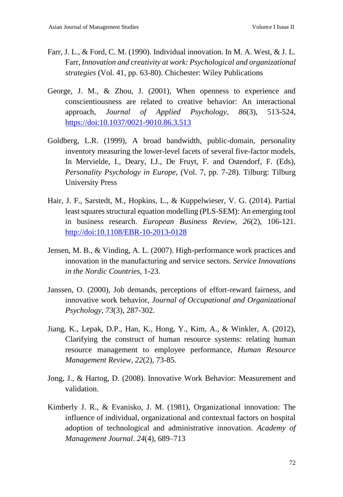- Farr, J. L., & Ford, C. M. (1990). Individual innovation. In M. A. West, & J. L. Farr, *Innovation and creativity at work: Psychological and organizational strategies* (Vol. 41, pp. 63-80). Chichester: Wiley Publications
- George, J. M., & Zhou, J. (2001), When openness to experience and conscientiousness are related to creative behavior: An interactional approach, *Journal of Applied Psychology*, *86*(3), 513-524, <https://doi:10.1037/0021-9010.86.3.513>
- Goldberg, L.R. (1999), A broad bandwidth, public-domain, personality inventory measuring the lower-level facets of several five-factor models, In Mervielde, I., Deary, I.J., De Fruyt, F. and Ostendorf, F. (Eds), *Personality Psychology in Europe*, (Vol. 7, pp. 7-28). Tilburg: Tilburg University Press
- Hair, J. F., Sarstedt, M., Hopkins, L., & Kuppelwieser, V. G. (2014). Partial least squares structural equation modelling (PLS-SEM): An emerging tool in business research. *European Business Review, 26*(2), 106-121. <http://doi:10.1108/EBR-10-2013-0128>
- Jensen, M. B., & Vinding, A. L. (2007). High-performance work practices and innovation in the manufacturing and service sectors. *Service Innovations in the Nordic Countries*, 1-23.
- Janssen, O. (2000), Job demands, perceptions of effort-reward fairness, and innovative work behavior, *Journal of Occupational and Organizational Psychology*, *73*(3), 287-302.
- Jiang, K., Lepak, D.P., Han, K., Hong, Y., Kim, A., & Winkler, A. (2012), Clarifying the construct of human resource systems: relating human resource management to employee performance, *Human Resource Management Review*, *22*(2), 73-85.
- Jong, J., & Hartog, D. (2008). Innovative Work Behavior: Measurement and validation.
- Kimberly J. R., & Evanisko, J. M. (1981), Organizational innovation: The influence of individual, organizational and contextual factors on hospital adoption of technological and administrative innovation. *Academy of Management Journal*. *24*(4), 689–713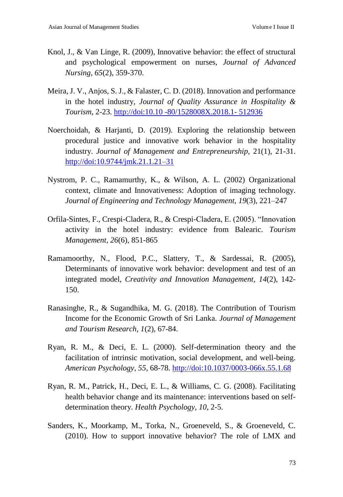- Knol, J., & Van Linge, R. (2009), Innovative behavior: the effect of structural and psychological empowerment on nurses, *Journal of Advanced Nursing*, *65*(2), 359-370.
- Meira, J. V., Anjos, S. J., & Falaster, C. D. (2018). Innovation and performance in the hotel industry, *Journal of Quality Assurance in Hospitality & Tourism*, 2-23. [http://doi:10.10 -80/1528008X.2018.1-](http://doi:10.10%20-80/1528008X.2018.1-%20512936) 512936
- Noerchoidah, & Harjanti, D. (2019). Exploring the relationship between procedural justice and innovative work behavior in the hospitality industry. *Journal of Management and Entrepreneurship*, 21(1), 21-31. <http://doi:10.9744/jmk.21.1.21–31>
- Nystrom, P. C., Ramamurthy, K., & Wilson, A. L. (2002) Organizational context, climate and Innovativeness: Adoption of imaging technology. *Journal of Engineering and Technology Management, 19*(3), 221–247
- Orfila-Sintes, F., Crespi-Cladera, R., & Crespi-Cladera, E. (2005). "Innovation activity in the hotel industry: evidence from Balearic. *Tourism Management, 26*(6), 851-865
- Ramamoorthy, N., Flood, P.C., Slattery, T., & Sardessai, R. (2005), Determinants of innovative work behavior: development and test of an integrated model, *Creativity and Innovation Management*, *14*(2), 142- 150.
- Ranasinghe, R., & Sugandhika, M. G. (2018). The Contribution of Tourism Income for the Economic Growth of Sri Lanka. *Journal of Management and Tourism Research, 1*(2), 67-84.
- Ryan, R. M., & Deci, E. L. (2000). Self-determination theory and the facilitation of intrinsic motivation, social development, and well-being. *American Psychology, 55*, 68-78.<http://doi:10.1037/0003-066x.55.1.68>
- Ryan, R. M., Patrick, H., Deci, E. L., & Williams, C. G. (2008). Facilitating health behavior change and its maintenance: interventions based on selfdetermination theory. *Health Psychology, 10*, 2-5.
- Sanders, K., Moorkamp, M., Torka, N., Groeneveld, S., & Groeneveld, C. (2010). How to support innovative behavior? The role of LMX and